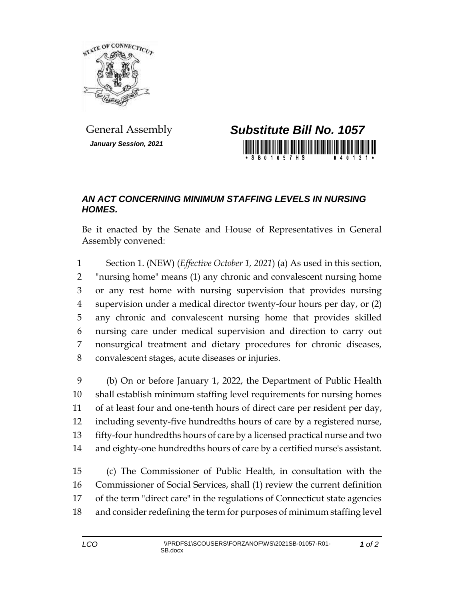

*January Session, 2021*



## *AN ACT CONCERNING MINIMUM STAFFING LEVELS IN NURSING HOMES.*

Be it enacted by the Senate and House of Representatives in General Assembly convened:

 Section 1. (NEW) (*Effective October 1, 2021*) (a) As used in this section, "nursing home" means (1) any chronic and convalescent nursing home or any rest home with nursing supervision that provides nursing supervision under a medical director twenty-four hours per day, or (2) any chronic and convalescent nursing home that provides skilled nursing care under medical supervision and direction to carry out nonsurgical treatment and dietary procedures for chronic diseases, convalescent stages, acute diseases or injuries.

 (b) On or before January 1, 2022, the Department of Public Health shall establish minimum staffing level requirements for nursing homes of at least four and one-tenth hours of direct care per resident per day, including seventy-five hundredths hours of care by a registered nurse, fifty-four hundredths hours of care by a licensed practical nurse and two and eighty-one hundredths hours of care by a certified nurse's assistant.

 (c) The Commissioner of Public Health, in consultation with the Commissioner of Social Services, shall (1) review the current definition of the term "direct care" in the regulations of Connecticut state agencies and consider redefining the term for purposes of minimum staffing level